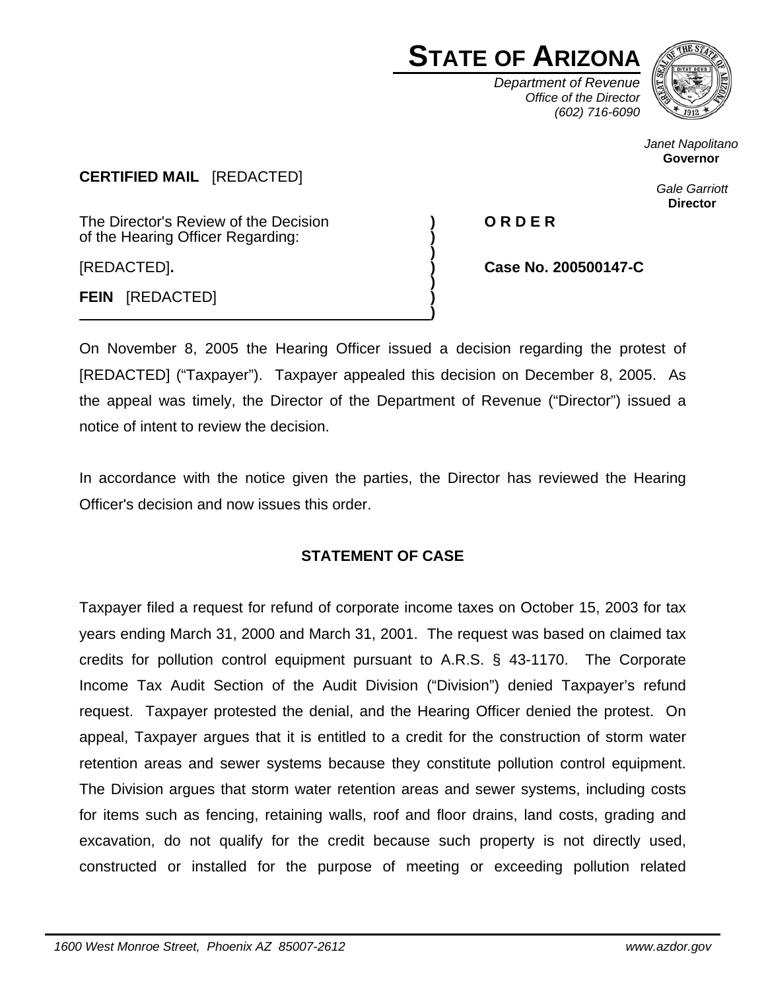# **STATE OF ARIZONA**

*Department of Revenue Office of the Director (602) 716-6090*



*Janet Napolitano*  **Governor** 

> *Gale Garriott*  **Director**

**CERTIFIED MAIL** [REDACTED]

The Director's Review of the Decision **) O R D E R**  of the Hearing Officer Regarding: **)** 

 **)**  [REDACTED]**. ) Case No. 200500147-C**

 **) FEIN** [REDACTED] **)** 

On November 8, 2005 the Hearing Officer issued a decision regarding the protest of [REDACTED] ("Taxpayer"). Taxpayer appealed this decision on December 8, 2005. As the appeal was timely, the Director of the Department of Revenue ("Director") issued a notice of intent to review the decision.

**)** 

In accordance with the notice given the parties, the Director has reviewed the Hearing Officer's decision and now issues this order.

## **STATEMENT OF CASE**

Taxpayer filed a request for refund of corporate income taxes on October 15, 2003 for tax years ending March 31, 2000 and March 31, 2001. The request was based on claimed tax credits for pollution control equipment pursuant to A.R.S. § 43-1170. The Corporate Income Tax Audit Section of the Audit Division ("Division") denied Taxpayer's refund request. Taxpayer protested the denial, and the Hearing Officer denied the protest. On appeal, Taxpayer argues that it is entitled to a credit for the construction of storm water retention areas and sewer systems because they constitute pollution control equipment. The Division argues that storm water retention areas and sewer systems, including costs for items such as fencing, retaining walls, roof and floor drains, land costs, grading and excavation, do not qualify for the credit because such property is not directly used, constructed or installed for the purpose of meeting or exceeding pollution related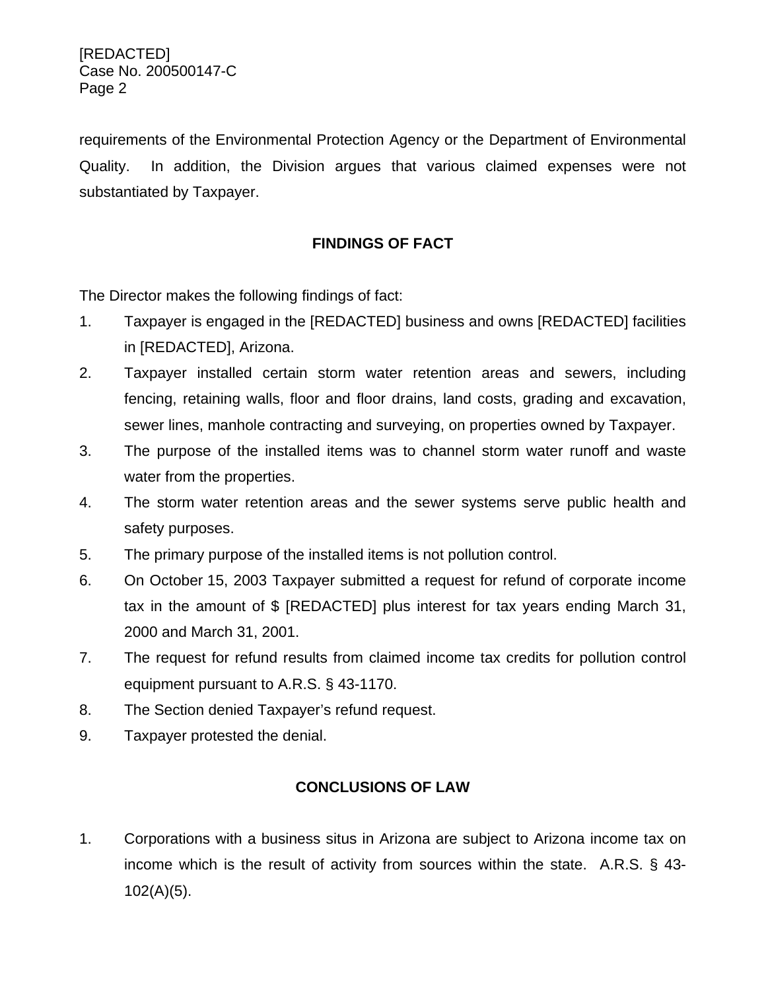requirements of the Environmental Protection Agency or the Department of Environmental Quality. In addition, the Division argues that various claimed expenses were not substantiated by Taxpayer.

## **FINDINGS OF FACT**

The Director makes the following findings of fact:

- 1. Taxpayer is engaged in the [REDACTED] business and owns [REDACTED] facilities in [REDACTED], Arizona.
- 2. Taxpayer installed certain storm water retention areas and sewers, including fencing, retaining walls, floor and floor drains, land costs, grading and excavation, sewer lines, manhole contracting and surveying, on properties owned by Taxpayer.
- 3. The purpose of the installed items was to channel storm water runoff and waste water from the properties.
- 4. The storm water retention areas and the sewer systems serve public health and safety purposes.
- 5. The primary purpose of the installed items is not pollution control.
- 6. On October 15, 2003 Taxpayer submitted a request for refund of corporate income tax in the amount of \$ [REDACTED] plus interest for tax years ending March 31, 2000 and March 31, 2001.
- 7. The request for refund results from claimed income tax credits for pollution control equipment pursuant to A.R.S. § 43-1170.
- 8. The Section denied Taxpayer's refund request.
- 9. Taxpayer protested the denial.

# **CONCLUSIONS OF LAW**

1. Corporations with a business situs in Arizona are subject to Arizona income tax on income which is the result of activity from sources within the state. A.R.S. § 43- 102(A)(5).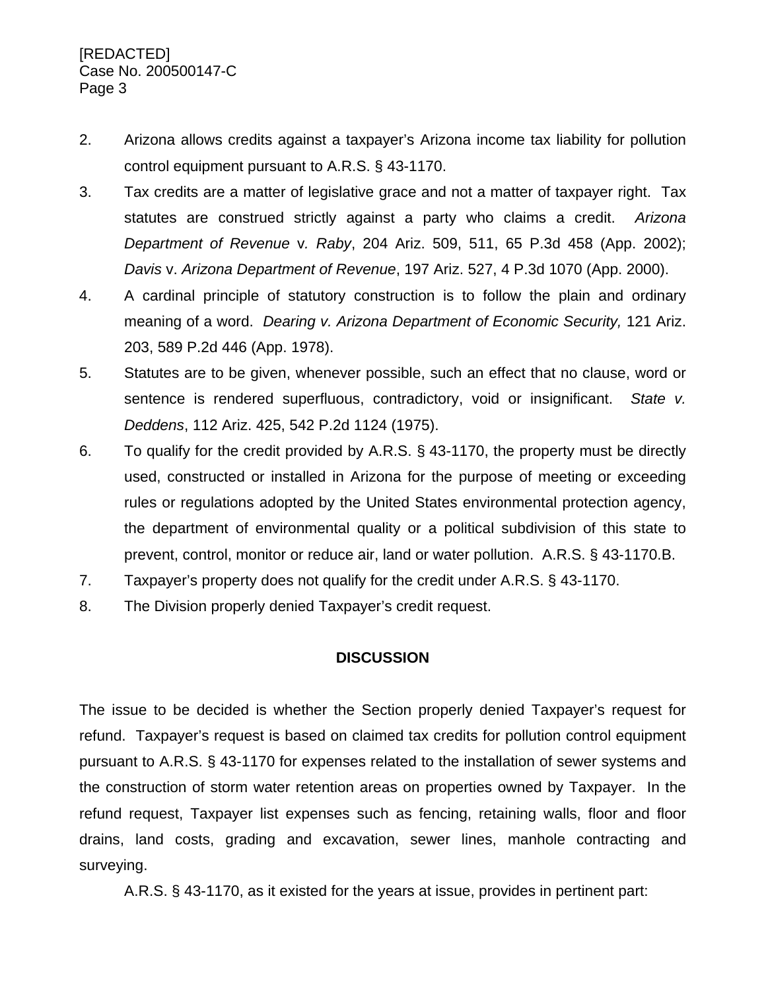- 2. Arizona allows credits against a taxpayer's Arizona income tax liability for pollution control equipment pursuant to A.R.S. § 43-1170.
- 3. Tax credits are a matter of legislative grace and not a matter of taxpayer right. Tax statutes are construed strictly against a party who claims a credit. *Arizona Department of Revenue* v*. Raby*, 204 Ariz. 509, 511, 65 P.3d 458 (App. 2002); *Davis* v. *Arizona Department of Revenue*, 197 Ariz. 527, 4 P.3d 1070 (App. 2000).
- 4. A cardinal principle of statutory construction is to follow the plain and ordinary meaning of a word. *Dearing v. Arizona Department of Economic Security,* 121 Ariz. 203, 589 P.2d 446 (App. 1978).
- 5. Statutes are to be given, whenever possible, such an effect that no clause, word or sentence is rendered superfluous, contradictory, void or insignificant. *State v. Deddens*, 112 Ariz. 425, 542 P.2d 1124 (1975).
- 6. To qualify for the credit provided by A.R.S. § 43-1170, the property must be directly used, constructed or installed in Arizona for the purpose of meeting or exceeding rules or regulations adopted by the United States environmental protection agency, the department of environmental quality or a political subdivision of this state to prevent, control, monitor or reduce air, land or water pollution. A.R.S. § 43-1170.B.
- 7. Taxpayer's property does not qualify for the credit under A.R.S. § 43-1170.
- 8. The Division properly denied Taxpayer's credit request.

## **DISCUSSION**

The issue to be decided is whether the Section properly denied Taxpayer's request for refund. Taxpayer's request is based on claimed tax credits for pollution control equipment pursuant to A.R.S. § 43-1170 for expenses related to the installation of sewer systems and the construction of storm water retention areas on properties owned by Taxpayer. In the refund request, Taxpayer list expenses such as fencing, retaining walls, floor and floor drains, land costs, grading and excavation, sewer lines, manhole contracting and surveying.

A.R.S. § 43-1170, as it existed for the years at issue, provides in pertinent part: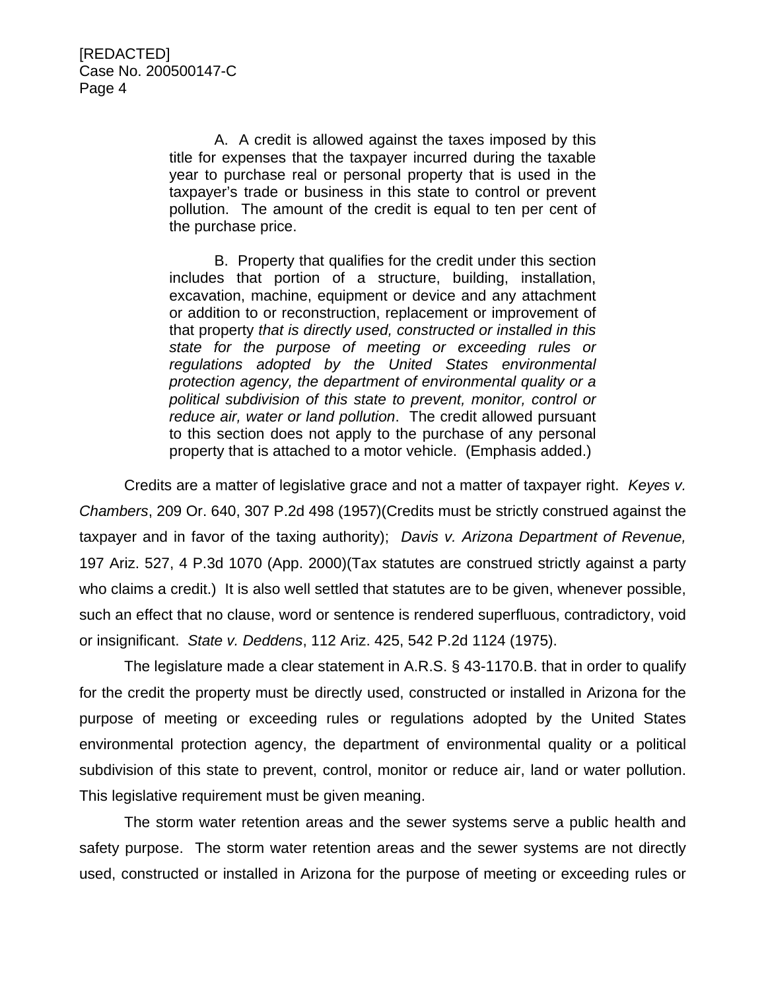A. A credit is allowed against the taxes imposed by this title for expenses that the taxpayer incurred during the taxable year to purchase real or personal property that is used in the taxpayer's trade or business in this state to control or prevent pollution. The amount of the credit is equal to ten per cent of the purchase price.

B. Property that qualifies for the credit under this section includes that portion of a structure, building, installation, excavation, machine, equipment or device and any attachment or addition to or reconstruction, replacement or improvement of that property *that is directly used, constructed or installed in this state for the purpose of meeting or exceeding rules or regulations adopted by the United States environmental protection agency, the department of environmental quality or a political subdivision of this state to prevent, monitor, control or reduce air, water or land pollution*. The credit allowed pursuant to this section does not apply to the purchase of any personal property that is attached to a motor vehicle. (Emphasis added.)

Credits are a matter of legislative grace and not a matter of taxpayer right. *Keyes v. Chambers*, 209 Or. 640, 307 P.2d 498 (1957)(Credits must be strictly construed against the taxpayer and in favor of the taxing authority); *Davis v. Arizona Department of Revenue,* 197 Ariz. 527, 4 P.3d 1070 (App. 2000)(Tax statutes are construed strictly against a party who claims a credit.) It is also well settled that statutes are to be given, whenever possible, such an effect that no clause, word or sentence is rendered superfluous, contradictory, void or insignificant. *State v. Deddens*, 112 Ariz. 425, 542 P.2d 1124 (1975).

The legislature made a clear statement in A.R.S. § 43-1170.B. that in order to qualify for the credit the property must be directly used, constructed or installed in Arizona for the purpose of meeting or exceeding rules or regulations adopted by the United States environmental protection agency, the department of environmental quality or a political subdivision of this state to prevent, control, monitor or reduce air, land or water pollution. This legislative requirement must be given meaning.

The storm water retention areas and the sewer systems serve a public health and safety purpose. The storm water retention areas and the sewer systems are not directly used, constructed or installed in Arizona for the purpose of meeting or exceeding rules or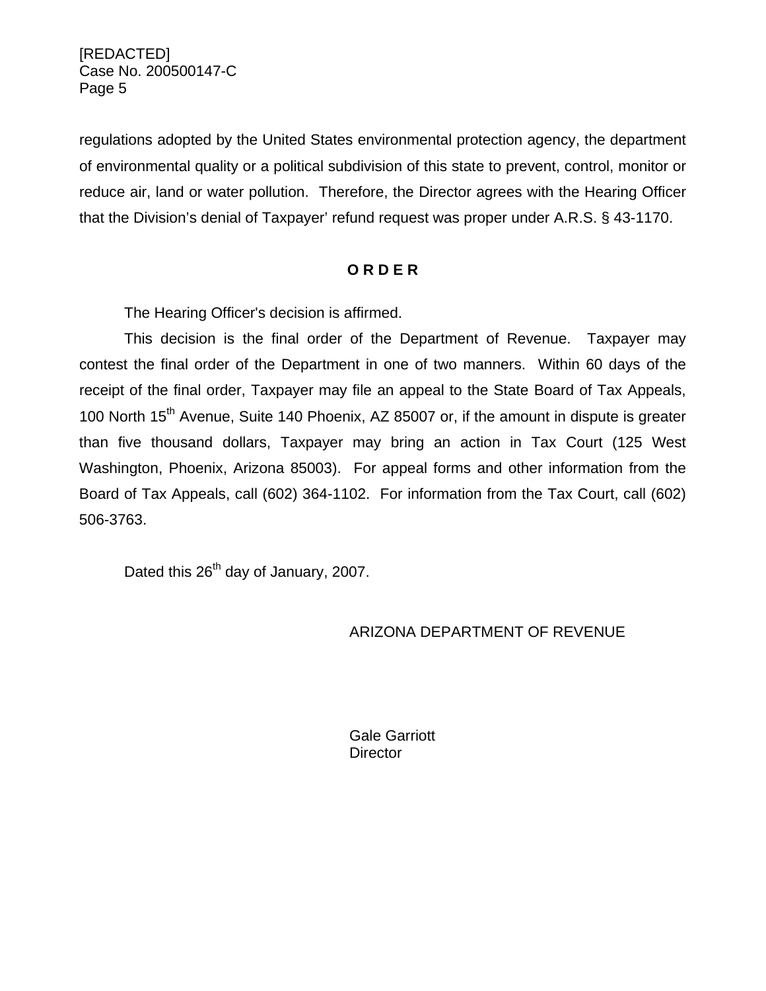regulations adopted by the United States environmental protection agency, the department of environmental quality or a political subdivision of this state to prevent, control, monitor or reduce air, land or water pollution. Therefore, the Director agrees with the Hearing Officer that the Division's denial of Taxpayer' refund request was proper under A.R.S. § 43-1170.

#### **O R D E R**

The Hearing Officer's decision is affirmed.

This decision is the final order of the Department of Revenue. Taxpayer may contest the final order of the Department in one of two manners. Within 60 days of the receipt of the final order, Taxpayer may file an appeal to the State Board of Tax Appeals, 100 North 15<sup>th</sup> Avenue, Suite 140 Phoenix, AZ 85007 or, if the amount in dispute is greater than five thousand dollars, Taxpayer may bring an action in Tax Court (125 West Washington, Phoenix, Arizona 85003). For appeal forms and other information from the Board of Tax Appeals, call (602) 364-1102. For information from the Tax Court, call (602) 506-3763.

Dated this 26<sup>th</sup> day of January, 2007.

## ARIZONA DEPARTMENT OF REVENUE

 Gale Garriott **Director**